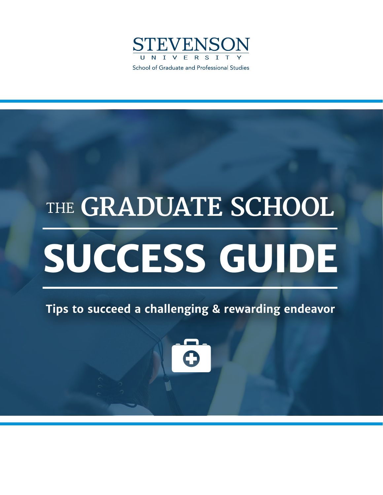

# THE **GRADUATE SCHOOL SUCCESS GUIDE**

**Tips to succeed a challenging & rewarding endeavor**

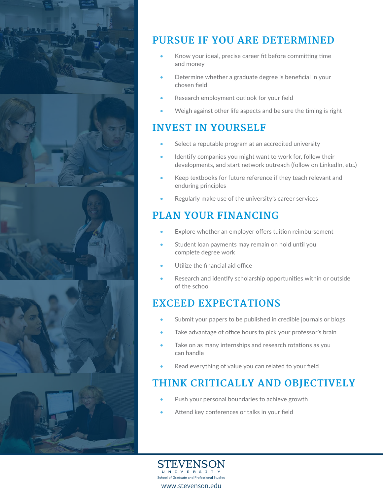

# **PURSUE IF YOU ARE DETERMINED**

- Know your ideal, precise career fit before committing time and money
- Determine whether a graduate degree is beneficial in your chosen field
- Research employment outlook for your field
- Weigh against other life aspects and be sure the timing is right

## **INVEST IN YOURSELF**

- Select a reputable program at an accredited university
- Identify companies you might want to work for, follow their developments, and start network outreach (follow on LinkedIn, etc.)
- Keep textbooks for future reference if they teach relevant and enduring principles
- Regularly make use of the university's career services

# **PLAN YOUR FINANCING**

- Explore whether an employer offers tuition reimbursement
- Student loan payments may remain on hold until you complete degree work
- Utilize the financial aid office
- Research and identify scholarship opportunities within or outside of the school

## **EXCEED EXPECTATIONS**

- Submit your papers to be published in credible journals or blogs
- Take advantage of office hours to pick your professor's brain
- Take on as many internships and research rotations as you can handle
- Read everything of value you can related to your field

## **THINK CRITICALLY AND OBJECTIVELY**

- Push your personal boundaries to achieve growth
- Attend key conferences or talks in your field

STEVENSON U N I V E R S I T School of Graduate and Professional Studies www.stevenson.edu